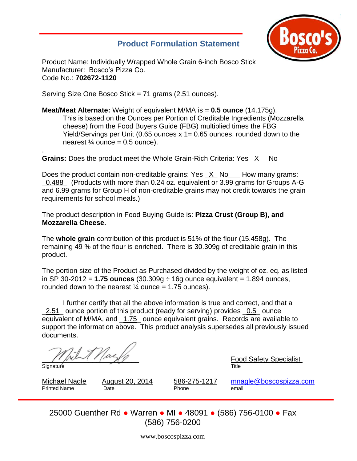# **Product Formulation Statement**



Product Name: Individually Wrapped Whole Grain 6-inch Bosco Stick Manufacturer: Bosco's Pizza Co. Code No.: **702672-1120**

Serving Size One Bosco Stick = 71 grams (2.51 ounces).

**Meat/Meat Alternate:** Weight of equivalent M/MA is = **0.5 ounce** (14.175g). This is based on the Ounces per Portion of Creditable Ingredients (Mozzarella cheese) from the Food Buyers Guide (FBG) multiplied times the FBG Yield/Servings per Unit (0.65 ounces x 1= 0.65 ounces, rounded down to the nearest  $\frac{1}{4}$  ounce = 0.5 ounce).

. **Grains:** Does the product meet the Whole Grain-Rich Criteria: Yes \_X\_\_ No\_\_\_\_\_

Does the product contain non-creditable grains: Yes  $\chi$  No How many grams: \_0.488 (Products with more than 0.24 oz. equivalent or 3.99 grams for Groups A-G and 6.99 grams for Group H of non-creditable grains may not credit towards the grain requirements for school meals.)

The product description in Food Buying Guide is: **Pizza Crust (Group B), and Mozzarella Cheese.**

The **whole grain** contribution of this product is 51% of the flour (15.458g). The remaining 49 % of the flour is enriched. There is 30.309g of creditable grain in this product.

The portion size of the Product as Purchased divided by the weight of oz. eq. as listed in SP 30-2012 = **1.75 ounces** (30.309g ÷ 16g ounce equivalent = 1.894 ounces, rounded down to the nearest  $\frac{1}{4}$  ounce = 1.75 ounces).

I further certify that all the above information is true and correct, and that a 2.51 ounce portion of this product (ready for serving) provides 0.5 ounce equivalent of M/MA, and \_1.75\_ ounce equivalent grains. Records are available to support the information above. This product analysis supersedes all previously issued documents.

. Signature Title

 $\frac{Food\ Safety\ Specialist}{Fite}$ 

Printed Name **Date Date Phone** email

Michael Nagle August 20, 2014 586-275-1217 [mnagle@boscospizza.com](mailto:mnagle@boscospizza.com)

25000 Guenther Rd ● Warren ● MI ● 48091 ● (586) 756-0100 ● Fax (586) 756-0200

www.boscospizza.com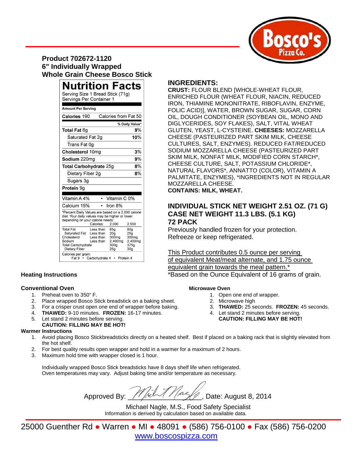

# **Product 702672-1120 6" Individually Wrapped Whole Grain Cheese Bosco Stick**

| <b>Nutrition Facts</b>                                                                                                                                                  |                                                                    |                                                                                    |                                                                       |
|-------------------------------------------------------------------------------------------------------------------------------------------------------------------------|--------------------------------------------------------------------|------------------------------------------------------------------------------------|-----------------------------------------------------------------------|
| Serving Size 1 Bread Stick (71g)<br>Servings Per Container 1                                                                                                            |                                                                    |                                                                                    |                                                                       |
| <b>Amount Per Serving</b>                                                                                                                                               |                                                                    |                                                                                    |                                                                       |
| Calories from Fat 50<br>Calories 190                                                                                                                                    |                                                                    |                                                                                    |                                                                       |
| % Daily Value*                                                                                                                                                          |                                                                    |                                                                                    |                                                                       |
| <b>Total Fat 6g</b>                                                                                                                                                     |                                                                    |                                                                                    | 9%                                                                    |
| Saturated Fat 2q                                                                                                                                                        |                                                                    |                                                                                    | 10%                                                                   |
| Trans Fat 0g                                                                                                                                                            |                                                                    |                                                                                    |                                                                       |
| Cholesterol 10mg                                                                                                                                                        |                                                                    |                                                                                    | 3%                                                                    |
| Sodium 220mg                                                                                                                                                            |                                                                    |                                                                                    | 9%                                                                    |
| 8%<br><b>Total Carbohydrate 25g</b>                                                                                                                                     |                                                                    |                                                                                    |                                                                       |
| Dietary Fiber 2g                                                                                                                                                        |                                                                    |                                                                                    | 8%                                                                    |
| Sugars 3g                                                                                                                                                               |                                                                    |                                                                                    |                                                                       |
| Protein 9g                                                                                                                                                              |                                                                    |                                                                                    |                                                                       |
|                                                                                                                                                                         |                                                                    |                                                                                    |                                                                       |
| Vitamin A 4%                                                                                                                                                            |                                                                    | Vitamin C 0%                                                                       |                                                                       |
| Calcium 15%                                                                                                                                                             |                                                                    | Iron $8%$                                                                          |                                                                       |
| *Percent Daily Values are based on a 2,000 calorie<br>diet. Your daily values may be higher or lower<br>depending on your calorie needs:<br>Calories:<br>2,000<br>2,500 |                                                                    |                                                                                    |                                                                       |
| <b>Total Fat</b><br>Saturated Fat<br>Cholesterol<br>Sodium<br><b>Total Carbohydrate</b><br>Dietary Fiber<br>Calories per gram:<br>Fat 9 •                               | Less than<br>Less than<br>Less than<br>Less than<br>Carbohydrate 4 | 65a<br>20 <sub>a</sub><br>300mg<br>2,400mg<br>300g<br>25 <sub>q</sub><br>Protein 4 | 80a<br>25g<br>300 <sub>mg</sub><br>2.400mg<br>375g<br>30 <sub>g</sub> |

### **Conventional Oven Microwave Oven Microwave Oven**

- 
- 
- 2. Place wrapped Bosco Stick breadstick on a baking sheet. 2. Microwave high 2. Microwave high<br>2. For a crisper crust open one end of wrapper before baking. 2. THAWED: 25 seconds. FROZEN: 45 seconds. 3. For a crisper crust open one end of wrapper before baking.
- 
- 4. **THAWED:** 9-10 minutes. **FROZEN:** 16-17 minutes. 4. Let stand 2 minutes before serving.<br>5. Let stand 2 minutes before serving. **4. CAUTION: FILLING MAY BE HOT!** 5. Let stand 2 minutes before serving.
- **CAUTION: FILLING MAY BE HOT!**

### **Warmer Instructions**

- 1. Avoid placing Bosco Stickbreadsticks directly on a heated shelf. Best if placed on a baking rack that is slightly elevated from the hot shelf.
- 2. For best quality results open wrapper and hold in a warmer for a maximum of 2 hours.
- 3. Maximum hold time with wrapper closed is 1 hour.

Individually wrapped Bosco Stick breadsticks have 8 days shelf life when refrigerated. Oven temperatures may vary. Adjust baking time and/or temperature as necessary.

Approved By:  $\frac{1}{2}$  Approved By:  $\frac{1}{2}$  Approved By:

Michael Nagle, M.S., Food Safety Specialist Information is derived by calculation based on available data.

25000 Guenther Rd ● Warren ● MI ● 48091 ● (586) 756-0100 ● Fax (586) 756-0200 [www.boscospizza.com](http://www.boscospizza.com/)

# **INGREDIENTS:**

**CRUST:** FLOUR BLEND [WHOLE-WHEAT FLOUR, ENRICHED FLOUR (WHEAT FLOUR, NIACIN, REDUCED IRON, THIAMINE MONONITRATE, RIBOFLAVIN, ENZYME, FOLIC ACID)], WATER, BROWN SUGAR, SUGAR, CORN OIL, DOUGH CONDITIONER (SOYBEAN OIL, MONO AND DIGLYCERIDES, SOY FLAKES), SALT, VITAL WHEAT GLUTEN, YEAST, L-CYSTEINE. **CHEESES:** MOZZARELLA CHEESE (PASTEURIZED PART SKIM MILK, CHEESE CULTURES, SALT, ENZYMES). REDUCED FAT/REDUCED SODIUM MOZZARELLA CHEESE (PASTEURIZED PART SKIM MILK, NONFAT MILK, MODIFIED CORN STARCH\*, CHEESE CULTURE, SALT, POTASSIUM CHLORIDE\*, NATURAL FLAVORS\*, ANNATTO (COLOR), VITAMIN A PALMITATE, ENZYMES), \*INGREDIENTS NOT IN REGULAR MOZZARELLA CHEESE.

**CONTAINS: MILK, WHEAT.** 

## **INDIVIDUAL STICK NET WEIGHT 2.51 OZ. (71 G) CASE NET WEIGHT 11.3 LBS. (5.1 KG) 72 PACK**

Previously handled frozen for your protection. Refreeze or keep refrigerated.

This Product contributes 0.5 ounce per serving of equivalent Meat/meat alternate, and 1.75 ounce equivalent grain towards the meal pattern.\* **Heating Instructions Example 20 and Transform in the Supplement of 16 and Supplement Of 16 grams of grain.** 

- 1. Preheat oven to 350° F. 1. Open one end of wrapper.
	-
	-
	-
	-